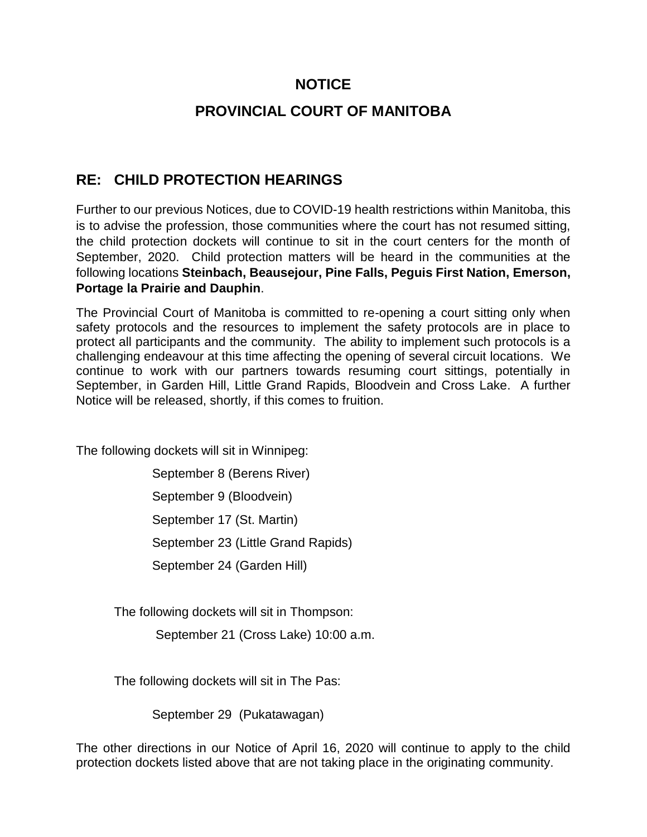## **NOTICE**

## **PROVINCIAL COURT OF MANITOBA**

## **RE: CHILD PROTECTION HEARINGS**

Further to our previous Notices, due to COVID-19 health restrictions within Manitoba, this is to advise the profession, those communities where the court has not resumed sitting, the child protection dockets will continue to sit in the court centers for the month of September, 2020. Child protection matters will be heard in the communities at the following locations **Steinbach, Beausejour, Pine Falls, Peguis First Nation, Emerson, Portage la Prairie and Dauphin**.

The Provincial Court of Manitoba is committed to re-opening a court sitting only when safety protocols and the resources to implement the safety protocols are in place to protect all participants and the community. The ability to implement such protocols is a challenging endeavour at this time affecting the opening of several circuit locations. We continue to work with our partners towards resuming court sittings, potentially in September, in Garden Hill, Little Grand Rapids, Bloodvein and Cross Lake. A further Notice will be released, shortly, if this comes to fruition.

The following dockets will sit in Winnipeg:

September 8 (Berens River) September 9 (Bloodvein) September 17 (St. Martin) September 23 (Little Grand Rapids) September 24 (Garden Hill)

The following dockets will sit in Thompson:

September 21 (Cross Lake) 10:00 a.m.

The following dockets will sit in The Pas:

September 29 (Pukatawagan)

The other directions in our Notice of April 16, 2020 will continue to apply to the child protection dockets listed above that are not taking place in the originating community.